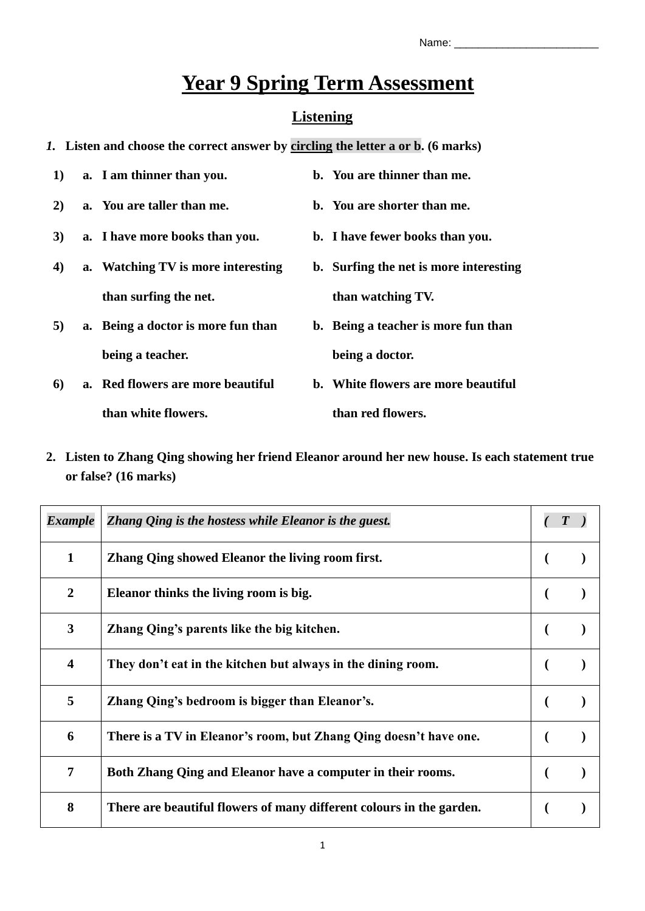**b. Surfing the net is more interesting** 

**b. Being a teacher is more fun than** 

**than watching TV.**

**being a doctor.**

# **Year 9 Spring Term Assessment**

### **Listening**

- *1.* **Listen and choose the correct answer by circling the letter a or b. (6 marks)**
- **1) a. I am thinner than you. b. You are thinner than me.**
- **2) a. You are taller than me. b. You are shorter than me.**
- **3) a. I have more books than you. b. I have fewer books than you.**
- **4) a. Watching TV is more interesting than surfing the net.**
- **5) a. Being a doctor is more fun than being a teacher.**
- **6) a. Red flowers are more beautiful than white flowers. b. White flowers are more beautiful than red flowers.**
- **2. Listen to Zhang Qing showing her friend Eleanor around her new house. Is each statement true or false? (16 marks)**

| <b>Example</b>          | Zhang Qing is the hostess while Eleanor is the guest.                |  |
|-------------------------|----------------------------------------------------------------------|--|
| 1                       | Zhang Qing showed Eleanor the living room first.                     |  |
| $\overline{2}$          | Eleanor thinks the living room is big.                               |  |
| $\overline{\mathbf{3}}$ | Zhang Qing's parents like the big kitchen.                           |  |
| $\overline{\mathbf{4}}$ | They don't eat in the kitchen but always in the dining room.         |  |
| 5                       | Zhang Qing's bedroom is bigger than Eleanor's.                       |  |
| 6                       | There is a TV in Eleanor's room, but Zhang Qing doesn't have one.    |  |
| 7                       | Both Zhang Qing and Eleanor have a computer in their rooms.          |  |
| 8                       | There are beautiful flowers of many different colours in the garden. |  |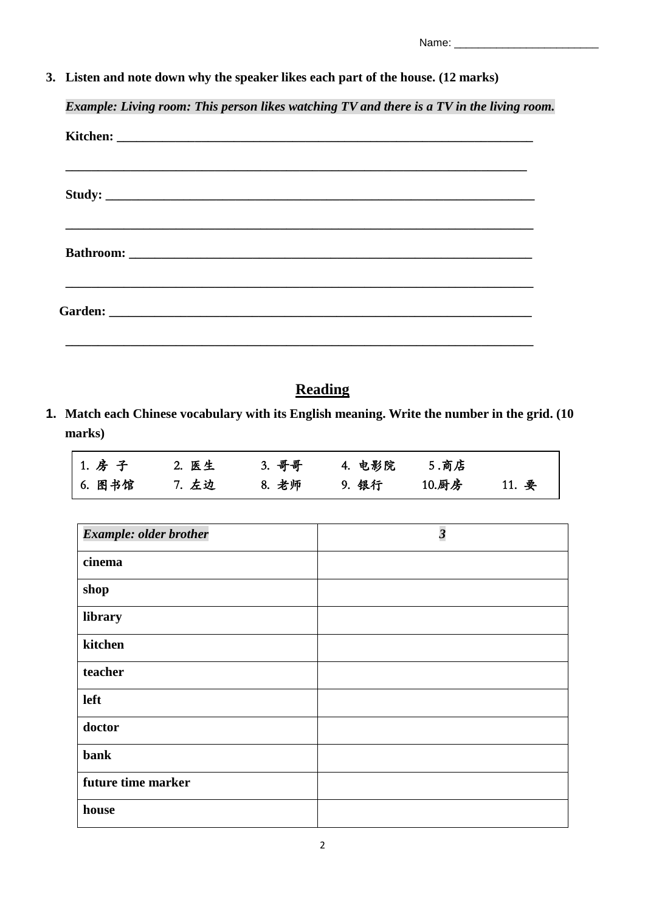| Name: |
|-------|
|-------|

**3. Listen and note down why the speaker likes each part of the house. (12 marks)**

*Example: Living room: This person likes watching TV and there is a TV in the living room.*

| Study: |  |  |  |
|--------|--|--|--|
|        |  |  |  |
|        |  |  |  |
|        |  |  |  |

## **Reading**

**1. Match each Chinese vocabulary with its English meaning. Write the number in the grid. (10 marks)**

| 1. 房子  | 2. 医生 | 3. 哥哥 | 4. 电影院   5.商店 |       |       |
|--------|-------|-------|---------------|-------|-------|
| 6. 图书馆 | 7. 左边 | 8. 老师 | 9. 银行         | 10.厨房 | 11. 要 |

| Example: older brother | $\overline{\mathbf{3}}$ |
|------------------------|-------------------------|
| cinema                 |                         |
| shop                   |                         |
| library                |                         |
| kitchen                |                         |
| teacher                |                         |
| left                   |                         |
| doctor                 |                         |
| bank                   |                         |
| future time marker     |                         |
| house                  |                         |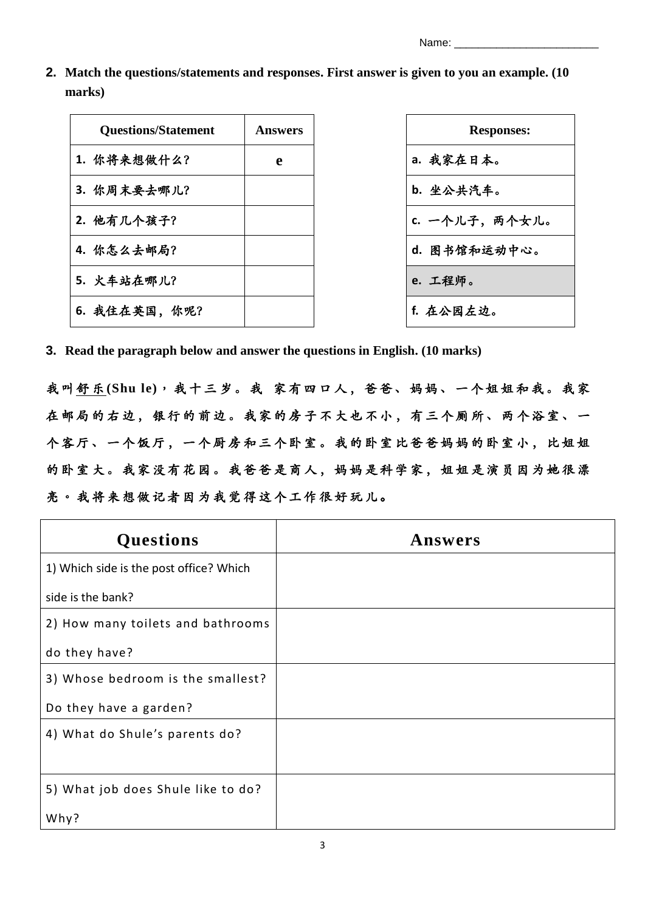Name:

**2. Match the questions/statements and responses. First answer is given to you an example. (10 marks)**

| <b>Questions/Statement</b> | <b>Answers</b> | <b>Responses:</b> |
|----------------------------|----------------|-------------------|
| 1. 你将来想做什么?                | e              | a. 我家在日本。         |
| 3. 你周末要去哪儿?                |                | b. 坐公共汽车。         |
| 2. 他有几个孩子?                 |                | c. 一个儿子, 两个女儿。    |
| 4. 你怎么去邮局?                 |                | d. 图书馆和运动中心。      |
| 5. 火车站在哪儿?                 |                | e. 工程师。           |
| 6. 我住在英国, 你呢?              |                | f. 在公园左边。         |

| <b>Responses:</b> |
|-------------------|
| a. 我家在日本。         |
| <b>b.</b> 坐公共汽车。  |
| 一个儿子,两个女儿。        |
| d. 图书馆和运动中心。      |
| e. 工程师。           |
| f. 在公园左边。         |

**3. Read the paragraph below and answer the questions in English. (10 marks)**

我 叫 舒 乐 **(Shu le)**, 我十三岁。 我 家 有四 口 人 , 爸 爸、 妈妈 、 一 个 姐 姐和 我。 我 家 在邮局的右边,银行的前边。我家的房子不大也不小,有三个厕所、两个浴室、一 个客厅、一个饭厅, 一个厨房和三个卧室。我的卧室比爸爸妈妈的卧室小, 比姐姐 的卧室大。我家没有花园。我爸爸是商人,妈妈是科学家,姐姐是演员因为她很漂 亮。我将来想做记者因为我觉得这个工作很好玩儿。

| <b>Questions</b>                        | Answers |
|-----------------------------------------|---------|
| 1) Which side is the post office? Which |         |
| side is the bank?                       |         |
| 2) How many toilets and bathrooms       |         |
| do they have?                           |         |
| 3) Whose bedroom is the smallest?       |         |
| Do they have a garden?                  |         |
| 4) What do Shule's parents do?          |         |
|                                         |         |
| 5) What job does Shule like to do?      |         |
| Why?                                    |         |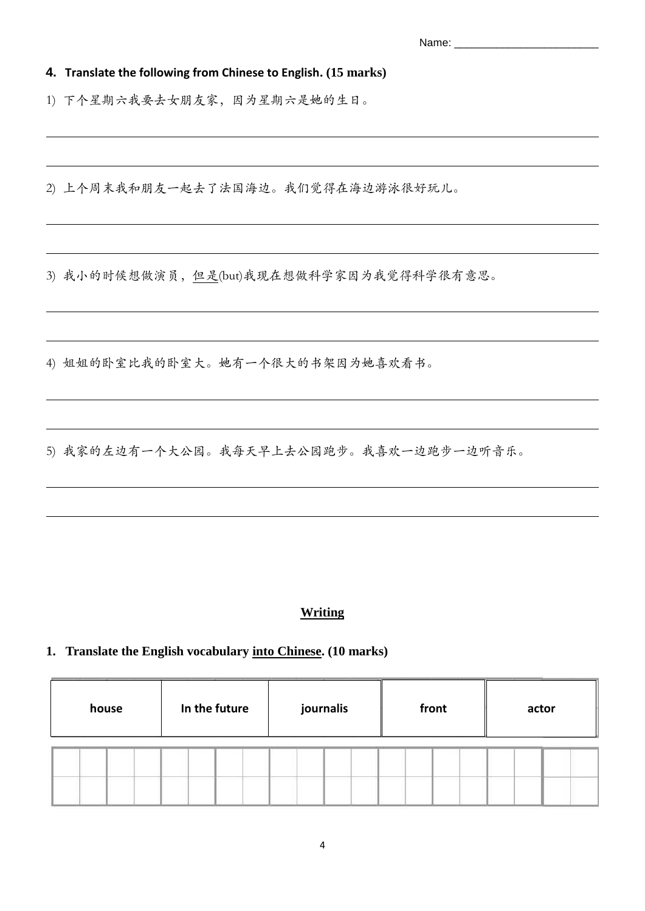**4. Translate the following from Chinese to English. (15 marks)**

1) 下个星期六我要去女朋友家,因为星期六是她的生日。

2) 上个周末我和朋友一起去了法国海边。我们觉得在海边游泳很好玩儿。

3) 我小的时候想做演员, 但是(but)我现在想做科学家因为我觉得科学很有意思。

4) 姐姐的卧室比我的卧室大。她有一个很大的书架因为她喜欢看书。

5) 我家的左边有一个大公园。我每天早上去公园跑步。我喜欢一边跑步一边听音乐。

#### **Writing**

#### **1. Translate the English vocabulary into Chinese. (10 marks)**

| house | In the future | journalis | front | actor |
|-------|---------------|-----------|-------|-------|
|       |               |           |       |       |